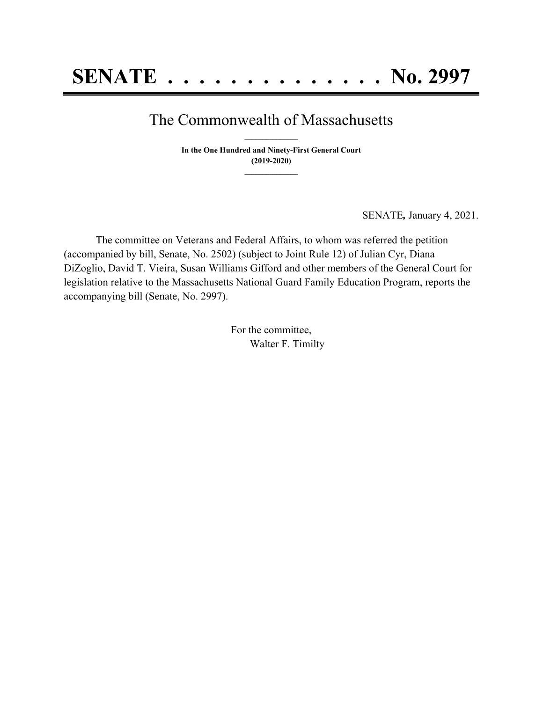## The Commonwealth of Massachusetts **\_\_\_\_\_\_\_\_\_\_\_\_\_\_\_**

**In the One Hundred and Ninety-First General Court (2019-2020) \_\_\_\_\_\_\_\_\_\_\_\_\_\_\_**

SENATE*,* January 4, 2021.

The committee on Veterans and Federal Affairs, to whom was referred the petition (accompanied by bill, Senate, No. 2502) (subject to Joint Rule 12) of Julian Cyr, Diana DiZoglio, David T. Vieira, Susan Williams Gifford and other members of the General Court for legislation relative to the Massachusetts National Guard Family Education Program, reports the accompanying bill (Senate, No. 2997).

> For the committee, Walter F. Timilty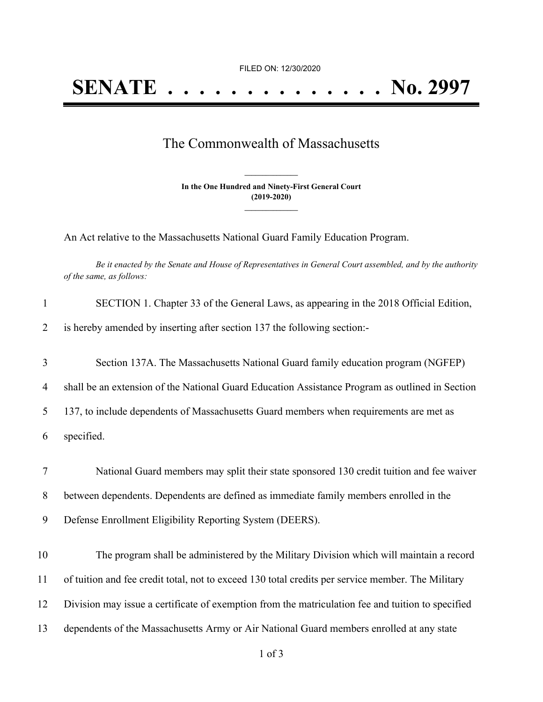FILED ON: 12/30/2020

## The Commonwealth of Massachusetts

**In the One Hundred and Ninety-First General Court (2019-2020) \_\_\_\_\_\_\_\_\_\_\_\_\_\_\_**

**\_\_\_\_\_\_\_\_\_\_\_\_\_\_\_**

An Act relative to the Massachusetts National Guard Family Education Program.

Be it enacted by the Senate and House of Representatives in General Court assembled, and by the authority *of the same, as follows:*

| $\mathbf{1}$   | SECTION 1. Chapter 33 of the General Laws, as appearing in the 2018 Official Edition,             |
|----------------|---------------------------------------------------------------------------------------------------|
| $\overline{2}$ | is hereby amended by inserting after section 137 the following section:-                          |
| 3              | Section 137A. The Massachusetts National Guard family education program (NGFEP)                   |
| $\overline{4}$ | shall be an extension of the National Guard Education Assistance Program as outlined in Section   |
| 5              | 137, to include dependents of Massachusetts Guard members when requirements are met as            |
| 6              | specified.                                                                                        |
| $\tau$         | National Guard members may split their state sponsored 130 credit tuition and fee waiver          |
| 8              | between dependents. Dependents are defined as immediate family members enrolled in the            |
| 9              | Defense Enrollment Eligibility Reporting System (DEERS).                                          |
| 10             | The program shall be administered by the Military Division which will maintain a record           |
| 11             | of tuition and fee credit total, not to exceed 130 total credits per service member. The Military |
| 12             | Division may issue a certificate of exemption from the matriculation fee and tuition to specified |
| 13             | dependents of the Massachusetts Army or Air National Guard members enrolled at any state          |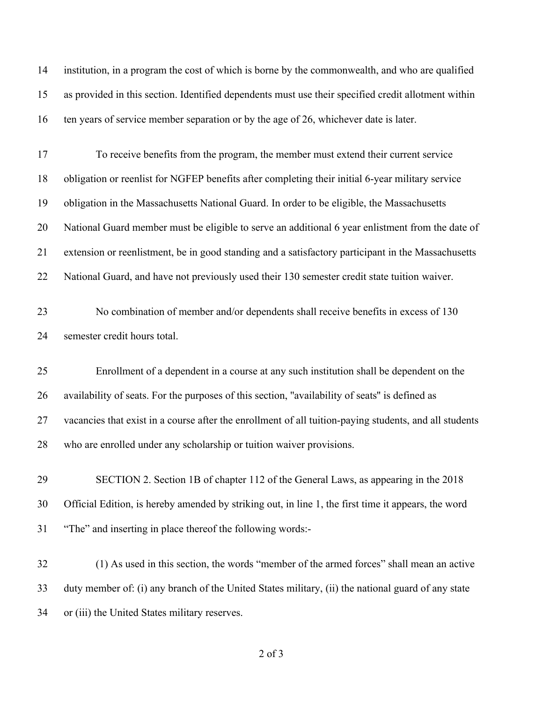| 14 | institution, in a program the cost of which is borne by the commonwealth, and who are qualified        |
|----|--------------------------------------------------------------------------------------------------------|
| 15 | as provided in this section. Identified dependents must use their specified credit allotment within    |
| 16 | ten years of service member separation or by the age of 26, whichever date is later.                   |
| 17 | To receive benefits from the program, the member must extend their current service                     |
| 18 | obligation or reenlist for NGFEP benefits after completing their initial 6-year military service       |
| 19 | obligation in the Massachusetts National Guard. In order to be eligible, the Massachusetts             |
| 20 | National Guard member must be eligible to serve an additional 6 year enlistment from the date of       |
| 21 | extension or reenlistment, be in good standing and a satisfactory participant in the Massachusetts     |
| 22 | National Guard, and have not previously used their 130 semester credit state tuition waiver.           |
| 23 | No combination of member and/or dependents shall receive benefits in excess of 130                     |
| 24 | semester credit hours total.                                                                           |
| 25 | Enrollment of a dependent in a course at any such institution shall be dependent on the                |
| 26 | availability of seats. For the purposes of this section, "availability of seats" is defined as         |
| 27 | vacancies that exist in a course after the enrollment of all tuition-paying students, and all students |
| 28 | who are enrolled under any scholarship or tuition waiver provisions.                                   |
| 29 | SECTION 2. Section 1B of chapter 112 of the General Laws, as appearing in the 2018                     |
| 30 | Official Edition, is hereby amended by striking out, in line 1, the first time it appears, the word    |
| 31 | "The" and inserting in place thereof the following words:-                                             |
| 32 | (1) As used in this section, the words "member of the armed forces" shall mean an active               |
| 33 | duty member of: (i) any branch of the United States military, (ii) the national guard of any state     |
| 34 | or (iii) the United States military reserves.                                                          |

of 3